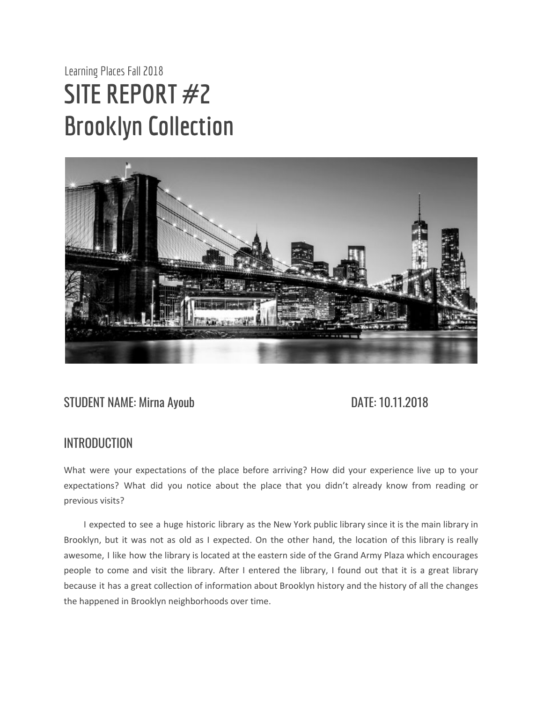# Learning Places Fall 2018 **SITE REPORT #2 Brooklyn Collection**



### STUDENT NAME: Mirna Ayoub DATE: 10.11.2018

#### INTRODUCTION

What were your expectations of the place before arriving? How did your experience live up to your expectations? What did you notice about the place that you didn't already know from reading or previous visits?

I expected to see a huge historic library as the New York public library since it is the main library in Brooklyn, but it was not as old as I expected. On the other hand, the location of this library is really awesome, I like how the library is located at the eastern side of the Grand Army Plaza which encourages people to come and visit the library. After I entered the library, I found out that it is a great library because it has a great collection of information about Brooklyn history and the history of all the changes the happened in Brooklyn neighborhoods over time.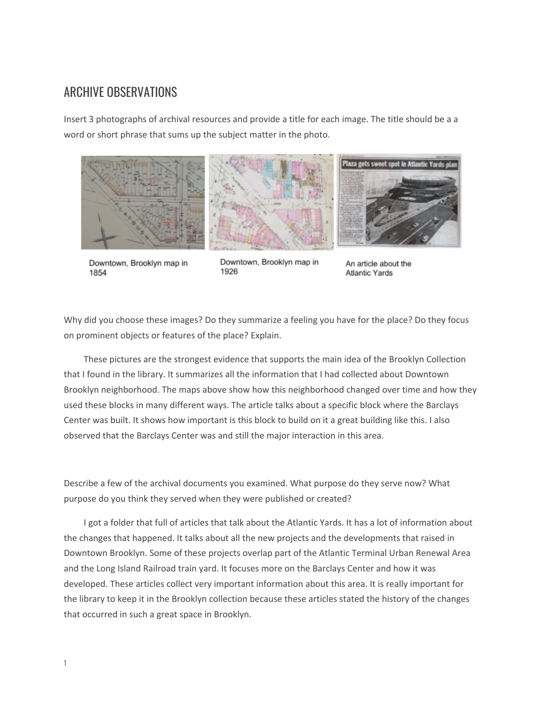#### ARCHIVE OBSERVATIONS

Insert 3 photographs of archival resources and provide a title for each image. The title should be a a word or short phrase that sums up the subject matter in the photo.







Downtown, Brooklyn map in 1854

Downtown, Brooklyn map in 1926

An article about the **Atlantic Yards** 

Why did you choose these images? Do they summarize a feeling you have for the place? Do they focus on prominent objects or features of the place? Explain.

These pictures are the strongest evidence that supports the main idea of the Brooklyn Collection that I found in the library. It summarizes all the information that I had collected about Downtown Brooklyn neighborhood. The maps above show how this neighborhood changed over time and how they used these blocks in many different ways. The article talks about a specific block where the Barclays Center was built. It shows how important is this block to build on it a great building like this. I also observed that the Barclays Center was and still the major interaction in this area.

Describe a few of the archival documents you examined. What purpose do they serve now? What purpose do you think they served when they were published or created?

I got a folder that full of articles that talk about the Atlantic Yards. It has a lot of information about the changes that happened. It talks about all the new projects and the developments that raised in Downtown Brooklyn. Some of these projects overlap part of the Atlantic Terminal Urban Renewal Area and the Long Island Railroad train yard. It focuses more on the Barclays Center and how it was developed. These articles collect very important information about this area. It is really important for the library to keep it in the Brooklyn collection because these articles stated the history of the changes that occurred in such a great space in Brooklyn.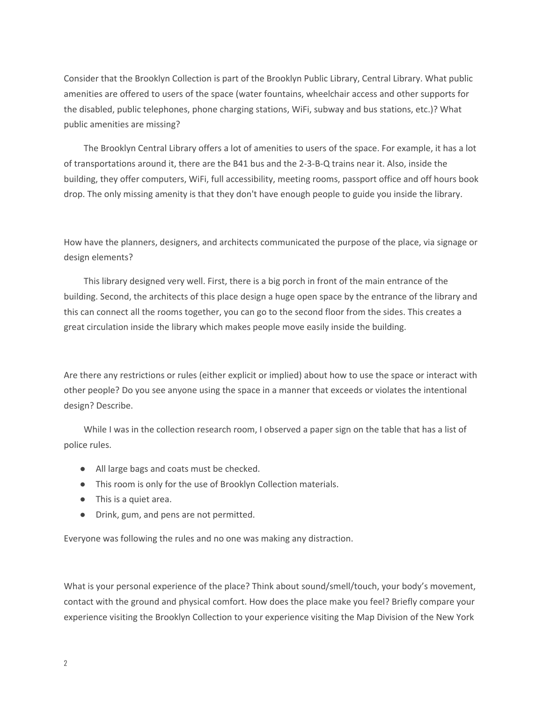Consider that the Brooklyn Collection is part of the Brooklyn Public Library, Central Library. What public amenities are offered to users of the space (water fountains, wheelchair access and other supports for the disabled, public telephones, phone charging stations, WiFi, subway and bus stations, etc.)? What public amenities are missing?

The Brooklyn Central Library offers a lot of amenities to users of the space. For example, it has a lot of transportations around it, there are the B41 bus and the 2-3-B-Q trains near it. Also, inside the building, they offer computers, WiFi, full accessibility, meeting rooms, passport office and off hours book drop. The only missing amenity is that they don't have enough people to guide you inside the library.

How have the planners, designers, and architects communicated the purpose of the place, via signage or design elements?

This library designed very well. First, there is a big porch in front of the main entrance of the building. Second, the architects of this place design a huge open space by the entrance of the library and this can connect all the rooms together, you can go to the second floor from the sides. This creates a great circulation inside the library which makes people move easily inside the building.

Are there any restrictions or rules (either explicit or implied) about how to use the space or interact with other people? Do you see anyone using the space in a manner that exceeds or violates the intentional design? Describe.

While I was in the collection research room, I observed a paper sign on the table that has a list of police rules.

- All large bags and coats must be checked.
- This room is only for the use of Brooklyn Collection materials.
- This is a quiet area.
- Drink, gum, and pens are not permitted.

Everyone was following the rules and no one was making any distraction.

What is your personal experience of the place? Think about sound/smell/touch, your body's movement, contact with the ground and physical comfort. How does the place make you feel? Briefly compare your experience visiting the Brooklyn Collection to your experience visiting the Map Division of the New York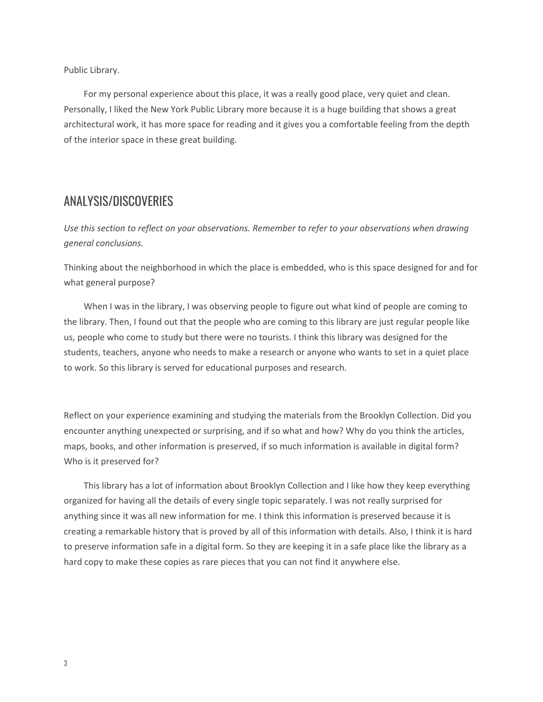Public Library.

For my personal experience about this place, it was a really good place, very quiet and clean. Personally, I liked the New York Public Library more because it is a huge building that shows a great architectural work, it has more space for reading and it gives you a comfortable feeling from the depth of the interior space in these great building.

#### ANALYSIS/DISCOVERIES

*Use this section to reflect on your observations. Remember to refer to your observations when drawing general conclusions.*

Thinking about the neighborhood in which the place is embedded, who is this space designed for and for what general purpose?

When I was in the library, I was observing people to figure out what kind of people are coming to the library. Then, I found out that the people who are coming to this library are just regular people like us, people who come to study but there were no tourists. I think this library was designed for the students, teachers, anyone who needs to make a research or anyone who wants to set in a quiet place to work. So this library is served for educational purposes and research.

Reflect on your experience examining and studying the materials from the Brooklyn Collection. Did you encounter anything unexpected or surprising, and if so what and how? Why do you think the articles, maps, books, and other information is preserved, if so much information is available in digital form? Who is it preserved for?

This library has a lot of information about Brooklyn Collection and I like how they keep everything organized for having all the details of every single topic separately. I was not really surprised for anything since it was all new information for me. I think this information is preserved because it is creating a remarkable history that is proved by all of this information with details. Also, I think it is hard to preserve information safe in a digital form. So they are keeping it in a safe place like the library as a hard copy to make these copies as rare pieces that you can not find it anywhere else.